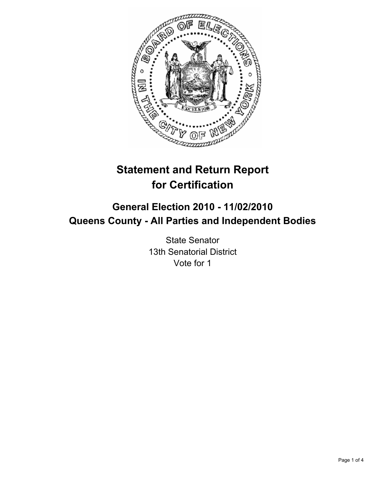

# **Statement and Return Report for Certification**

## **General Election 2010 - 11/02/2010 Queens County - All Parties and Independent Bodies**

State Senator 13th Senatorial District Vote for 1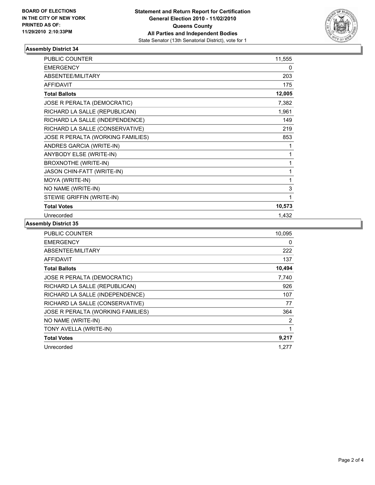

### **Assembly District 34**

| PUBLIC COUNTER                    | 11,555       |
|-----------------------------------|--------------|
| <b>EMERGENCY</b>                  | $\mathbf{0}$ |
| ABSENTEE/MILITARY                 | 203          |
| <b>AFFIDAVIT</b>                  | 175          |
| <b>Total Ballots</b>              | 12,005       |
| JOSE R PERALTA (DEMOCRATIC)       | 7,382        |
| RICHARD LA SALLE (REPUBLICAN)     | 1,961        |
| RICHARD LA SALLE (INDEPENDENCE)   | 149          |
| RICHARD LA SALLE (CONSERVATIVE)   | 219          |
| JOSE R PERALTA (WORKING FAMILIES) | 853          |
| ANDRES GARCIA (WRITE-IN)          | 1            |
| ANYBODY ELSE (WRITE-IN)           | 1            |
| <b>BROXNOTHE (WRITE-IN)</b>       | 1            |
| JASON CHIN-FATT (WRITE-IN)        | 1            |
| MOYA (WRITE-IN)                   | 1            |
| NO NAME (WRITE-IN)                | 3            |
| STEWIE GRIFFIN (WRITE-IN)         | 1            |
| <b>Total Votes</b>                | 10,573       |
| Unrecorded                        | 1,432        |

#### **Assembly District 35**

| <b>PUBLIC COUNTER</b>             | 10,095 |
|-----------------------------------|--------|
| <b>EMERGENCY</b>                  | 0      |
| ABSENTEE/MILITARY                 | 222    |
| <b>AFFIDAVIT</b>                  | 137    |
| <b>Total Ballots</b>              | 10,494 |
| JOSE R PERALTA (DEMOCRATIC)       | 7,740  |
| RICHARD LA SALLE (REPUBLICAN)     | 926    |
| RICHARD LA SALLE (INDEPENDENCE)   | 107    |
| RICHARD LA SALLE (CONSERVATIVE)   | 77     |
| JOSE R PERALTA (WORKING FAMILIES) | 364    |
| NO NAME (WRITE-IN)                | 2      |
| TONY AVELLA (WRITE-IN)            | 1      |
| <b>Total Votes</b>                | 9,217  |
| Unrecorded                        | 1,277  |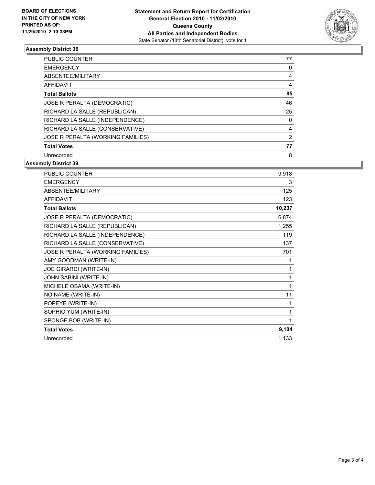

#### **Assembly District 36**

| PUBLIC COUNTER                    | 77 |
|-----------------------------------|----|
| <b>EMERGENCY</b>                  | 0  |
| ABSENTEE/MILITARY                 | 4  |
| <b>AFFIDAVIT</b>                  | 4  |
| <b>Total Ballots</b>              | 85 |
| JOSE R PERALTA (DEMOCRATIC)       | 46 |
| RICHARD LA SALLE (REPUBLICAN)     | 25 |
| RICHARD LA SALLE (INDEPENDENCE)   | 0  |
| RICHARD LA SALLE (CONSERVATIVE)   | 4  |
| JOSE R PERALTA (WORKING FAMILIES) | 2  |
| <b>Total Votes</b>                | 77 |
| Unrecorded                        | 8  |

**Assembly District 39**

| <b>PUBLIC COUNTER</b>             | 9,918  |
|-----------------------------------|--------|
| <b>EMERGENCY</b>                  | 3      |
| ABSENTEE/MILITARY                 | 125    |
| <b>AFFIDAVIT</b>                  | 123    |
| <b>Total Ballots</b>              | 10,237 |
| JOSE R PERALTA (DEMOCRATIC)       | 6,874  |
| RICHARD LA SALLE (REPUBLICAN)     | 1,255  |
| RICHARD LA SALLE (INDEPENDENCE)   | 119    |
| RICHARD LA SALLE (CONSERVATIVE)   | 137    |
| JOSE R PERALTA (WORKING FAMILIES) | 701    |
| AMY GOODMAN (WRITE-IN)            | 1      |
| JOE GIRARDI (WRITE-IN)            | 1      |
| <b>JOHN SABINI (WRITE-IN)</b>     | 1      |
| MICHELE OBAMA (WRITE-IN)          | 1      |
| NO NAME (WRITE-IN)                | 11     |
| POPEYE (WRITE-IN)                 | 1      |
| SOPHIO YUM (WRITE-IN)             | 1      |
| SPONGE BOB (WRITE-IN)             | 1      |
| <b>Total Votes</b>                | 9,104  |
| Unrecorded                        | 1,133  |